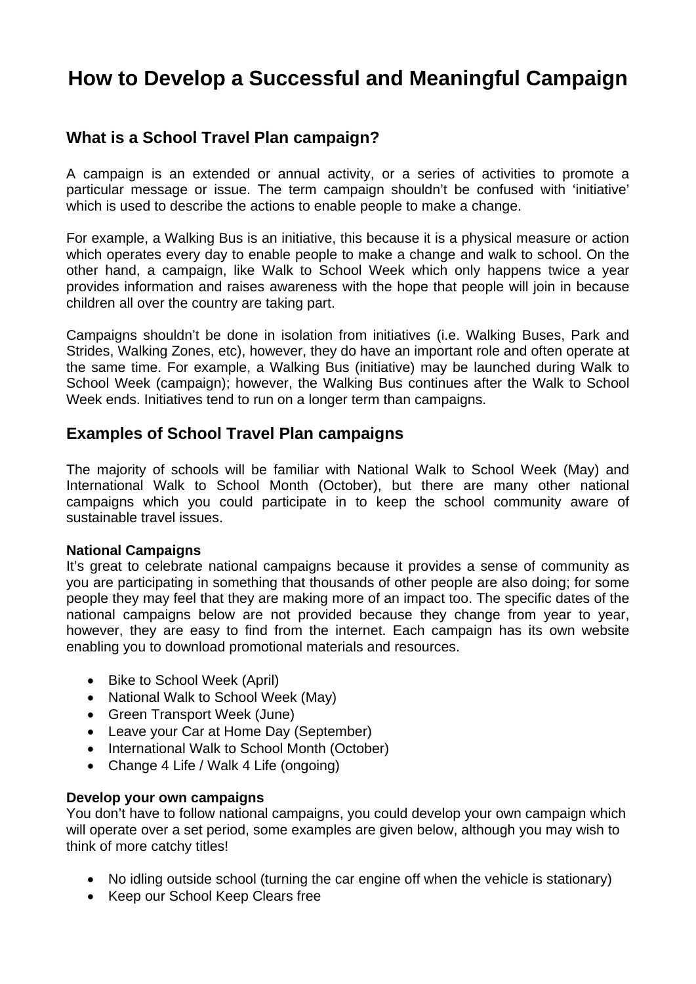# **How to Develop a Successful and Meaningful Campaign**

## **What is a School Travel Plan campaign?**

A campaign is an extended or annual activity, or a series of activities to promote a particular message or issue. The term campaign shouldn't be confused with 'initiative' which is used to describe the actions to enable people to make a change.

For example, a Walking Bus is an initiative, this because it is a physical measure or action which operates every day to enable people to make a change and walk to school. On the other hand, a campaign, like Walk to School Week which only happens twice a year provides information and raises awareness with the hope that people will join in because children all over the country are taking part.

Campaigns shouldn't be done in isolation from initiatives (i.e. Walking Buses, Park and Strides, Walking Zones, etc), however, they do have an important role and often operate at the same time. For example, a Walking Bus (initiative) may be launched during Walk to School Week (campaign); however, the Walking Bus continues after the Walk to School Week ends. Initiatives tend to run on a longer term than campaigns.

## **Examples of School Travel Plan campaigns**

The majority of schools will be familiar with National Walk to School Week (May) and International Walk to School Month (October), but there are many other national campaigns which you could participate in to keep the school community aware of sustainable travel issues.

#### **National Campaigns**

It's great to celebrate national campaigns because it provides a sense of community as you are participating in something that thousands of other people are also doing; for some people they may feel that they are making more of an impact too. The specific dates of the national campaigns below are not provided because they change from year to year, however, they are easy to find from the internet. Each campaign has its own website enabling you to download promotional materials and resources.

- Bike to School Week (April)
- National Walk to School Week (May)
- Green Transport Week (June)
- Leave your Car at Home Day (September)
- International Walk to School Month (October)
- Change 4 Life / Walk 4 Life (ongoing)

### **Develop your own campaigns**

You don't have to follow national campaigns, you could develop your own campaign which will operate over a set period, some examples are given below, although you may wish to think of more catchy titles!

- No idling outside school (turning the car engine off when the vehicle is stationary)
- Keep our School Keep Clears free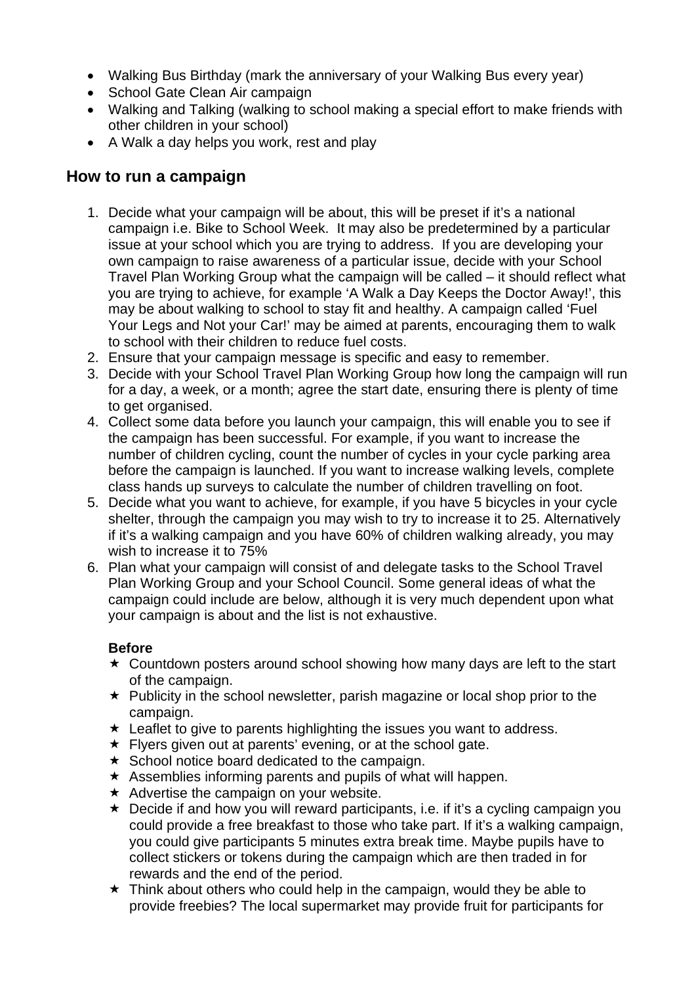- Walking Bus Birthday (mark the anniversary of your Walking Bus every year)
- School Gate Clean Air campaign
- Walking and Talking (walking to school making a special effort to make friends with other children in your school)
- A Walk a day helps you work, rest and play

## **How to run a campaign**

- 1. Decide what your campaign will be about, this will be preset if it's a national campaign i.e. Bike to School Week. It may also be predetermined by a particular issue at your school which you are trying to address. If you are developing your own campaign to raise awareness of a particular issue, decide with your School Travel Plan Working Group what the campaign will be called – it should reflect what you are trying to achieve, for example 'A Walk a Day Keeps the Doctor Away!', this may be about walking to school to stay fit and healthy. A campaign called 'Fuel Your Legs and Not your Car!' may be aimed at parents, encouraging them to walk to school with their children to reduce fuel costs.
- 2. Ensure that your campaign message is specific and easy to remember.
- 3. Decide with your School Travel Plan Working Group how long the campaign will run for a day, a week, or a month; agree the start date, ensuring there is plenty of time to get organised.
- 4. Collect some data before you launch your campaign, this will enable you to see if the campaign has been successful. For example, if you want to increase the number of children cycling, count the number of cycles in your cycle parking area before the campaign is launched. If you want to increase walking levels, complete class hands up surveys to calculate the number of children travelling on foot.
- 5. Decide what you want to achieve, for example, if you have 5 bicycles in your cycle shelter, through the campaign you may wish to try to increase it to 25. Alternatively if it's a walking campaign and you have 60% of children walking already, you may wish to increase it to 75%
- 6. Plan what your campaign will consist of and delegate tasks to the School Travel Plan Working Group and your School Council. Some general ideas of what the campaign could include are below, although it is very much dependent upon what your campaign is about and the list is not exhaustive.

### **Before**

- $\star$  Countdown posters around school showing how many days are left to the start of the campaign.
- $\star$  Publicity in the school newsletter, parish magazine or local shop prior to the campaign.
- $\star$  Leaflet to give to parents highlighting the issues you want to address.
- $\star$  Flyers given out at parents' evening, or at the school gate.
- $\star$  School notice board dedicated to the campaign.
- $\star$  Assemblies informing parents and pupils of what will happen.
- $\star$  Advertise the campaign on your website.
- $\star$  Decide if and how you will reward participants, i.e. if it's a cycling campaign you could provide a free breakfast to those who take part. If it's a walking campaign, you could give participants 5 minutes extra break time. Maybe pupils have to collect stickers or tokens during the campaign which are then traded in for rewards and the end of the period.
- $\star$  Think about others who could help in the campaign, would they be able to provide freebies? The local supermarket may provide fruit for participants for